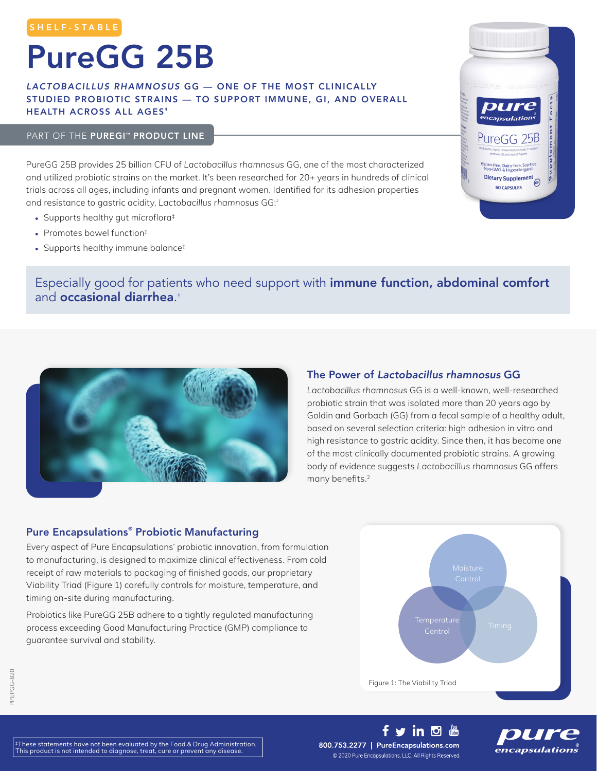# PureGG 25B

### *LACTOBACILLUS RHAMNOSUS* GG — ONE OF THE MOST CLINICALLY STUDIED PROBIOTIC STRAINS — TO SUPPORT IMMUNE, GI, AND OVERALL HEALTH ACROSS ALL AGES<sup>\*</sup>

#### PART OF THE PUREGI<sup>™</sup> PRODUCT LINE

PureGG 25B provides 25 billion CFU of *Lactobacillus rhamnosus* GG, one of the most characterized and utilized probiotic strains on the market. It's been researched for 20+ years in hundreds of clinical trials across all ages, including infants and pregnant women. Identified for its adhesion properties and resistance to gastric acidity, *Lactobacillus rhamnosus* GG:<sup>2</sup>

- Supports healthy gut microflora<sup>‡</sup>
- Promotes bowel function<sup>‡</sup>
- Supports healthy immune balance‡



## Especially good for patients who need support with immune function, abdominal comfort and occasional diarrhea. ‡



## The Power of *Lactobacillus rhamnosus* GG

*Lactobacillus rhamnosus* GG is a well-known, well-researched probiotic strain that was isolated more than 20 years ago by Goldin and Gorbach (GG) from a fecal sample of a healthy adult, based on several selection criteria: high adhesion in vitro and high resistance to gastric acidity. Since then, it has become one of the most clinically documented probiotic strains. A growing body of evidence suggests *Lactobacillus rhamnosus* GG offers many benefits.<sup>2</sup>

### Pure Encapsulations® Probiotic Manufacturing

Every aspect of Pure Encapsulations' probiotic innovation, from formulation to manufacturing, is designed to maximize clinical effectiveness. From cold receipt of raw materials to packaging of finished goods, our proprietary Viability Triad (Figure 1) carefully controls for moisture, temperature, and timing on-site during manufacturing.

Probiotics like PureGG 25B adhere to a tightly regulated manufacturing process exceeding Good Manufacturing Practice (GMP) compliance to guarantee survival and stability.



‡These statements have not been evaluated by the Food & Drug Administration. This product is not intended to diagnose, treat, cure or prevent any disease.

800.753.2277 | PureEncapsulations.com © 2020 Pure Encapsulations, LLC. All Rights Reserved.

f y in <sup>[5]</sup> 恶